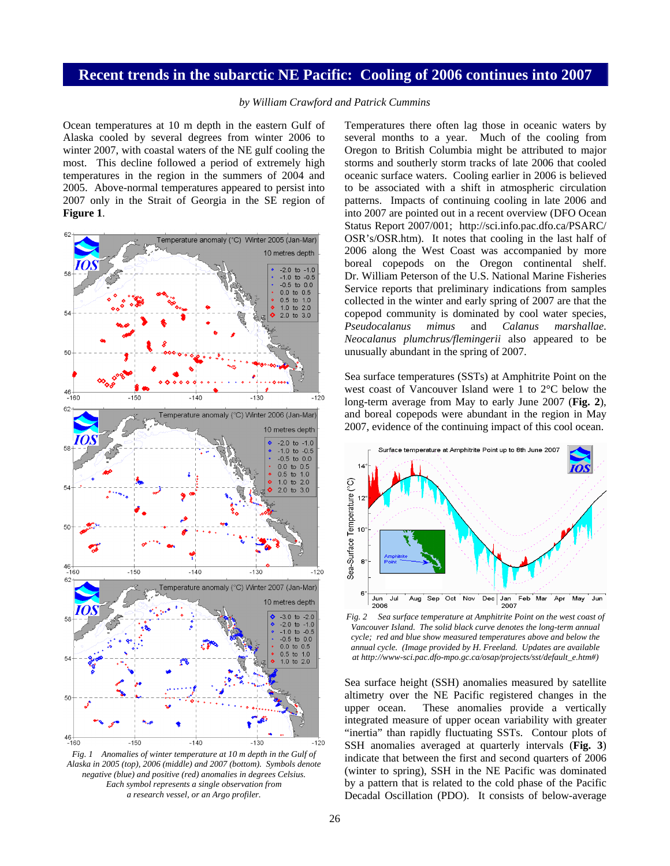## **Recent trends in the subarctic NE Pacific: Cooling of 2006 continues into 2007**

*by William Crawford and Patrick Cummins*

Ocean temperatures at 10 m depth in the eastern Gulf of Alaska cooled by several degrees from winter 2006 to winter 2007, with coastal waters of the NE gulf cooling the most. This decline followed a period of extremely high temperatures in the region in the summers of 2004 and 2005. Above-normal temperatures appeared to persist into 2007 only in the Strait of Georgia in the SE region of **Figure 1**.



*Fig. 1 Anomalies of winter temperature at 10 m depth in the Gulf of Alaska in 2005 (top), 2006 (middle) and 2007 (bottom). Symbols denote negative (blue) and positive (red) anomalies in degrees Celsius. Each symbol represents a single observation from a research vessel, or an Argo profiler.* 

Temperatures there often lag those in oceanic waters by several months to a year. Much of the cooling from Oregon to British Columbia might be attributed to major storms and southerly storm tracks of late 2006 that cooled oceanic surface waters. Cooling earlier in 2006 is believed to be associated with a shift in atmospheric circulation patterns. Impacts of continuing cooling in late 2006 and into 2007 are pointed out in a recent overview (DFO Ocean Status Report 2007/001; http://sci.info.pac.dfo.ca/PSARC/ OSR's/OSR.htm). It notes that cooling in the last half of 2006 along the West Coast was accompanied by more boreal copepods on the Oregon continental shelf. Dr. William Peterson of the U.S. National Marine Fisheries Service reports that preliminary indications from samples collected in the winter and early spring of 2007 are that the copepod community is dominated by cool water species, *Pseudocalanus mimus* and *Calanus marshallae*. *Neocalanus plumchrus/flemingerii* also appeared to be unusually abundant in the spring of 2007.

Sea surface temperatures (SSTs) at Amphitrite Point on the west coast of Vancouver Island were 1 to 2°C below the long-term average from May to early June 2007 (**Fig. 2**), and boreal copepods were abundant in the region in May 2007, evidence of the continuing impact of this cool ocean.



*Fig. 2 Sea surface temperature at Amphitrite Point on the west coast of Vancouver Island. The solid black curve denotes the long-term annual cycle; red and blue show measured temperatures above and below the annual cycle. (Image provided by H. Freeland. Updates are available at http://www-sci.pac.dfo-mpo.gc.ca/osap/projects/sst/default\_e.htm#)* 

Sea surface height (SSH) anomalies measured by satellite altimetry over the NE Pacific registered changes in the upper ocean. These anomalies provide a vertically integrated measure of upper ocean variability with greater "inertia" than rapidly fluctuating SSTs. Contour plots of SSH anomalies averaged at quarterly intervals (**Fig. 3**) indicate that between the first and second quarters of 2006 (winter to spring), SSH in the NE Pacific was dominated by a pattern that is related to the cold phase of the Pacific Decadal Oscillation (PDO). It consists of below-average